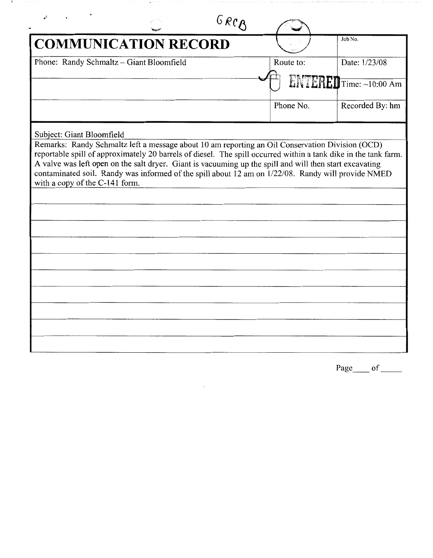|                                                                                                                                                                                                                                                                                                                                                                                                                                                                                                    | $G_{RCQ}$ |           |                         |
|----------------------------------------------------------------------------------------------------------------------------------------------------------------------------------------------------------------------------------------------------------------------------------------------------------------------------------------------------------------------------------------------------------------------------------------------------------------------------------------------------|-----------|-----------|-------------------------|
| <b>COMMUNICATION RECORD</b>                                                                                                                                                                                                                                                                                                                                                                                                                                                                        |           |           | Job No.                 |
| Phone: Randy Schmaltz - Giant Bloomfield                                                                                                                                                                                                                                                                                                                                                                                                                                                           |           | Route to: | Date: 1/23/08           |
|                                                                                                                                                                                                                                                                                                                                                                                                                                                                                                    |           |           | ENTERED Time: ~10:00 Am |
|                                                                                                                                                                                                                                                                                                                                                                                                                                                                                                    |           | Phone No. | Recorded By: hm         |
| Subject: Giant Bloomfield<br>Remarks: Randy Schmaltz left a message about 10 am reporting an Oil Conservation Division (OCD)<br>reportable spill of approximately 20 barrels of diesel. The spill occurred within a tank dike in the tank farm.<br>A valve was left open on the salt dryer. Giant is vacuuming up the spill and will then start excavating<br>contaminated soil. Randy was informed of the spill about 12 am on 1/22/08. Randy will provide NMED<br>with a copy of the C-141 form. |           |           |                         |

 $\sim 10^7$ 

and the control of the control

a iyo katalog asl nashrida<br>V

Page\_\_\_\_\_ of \_\_\_\_\_\_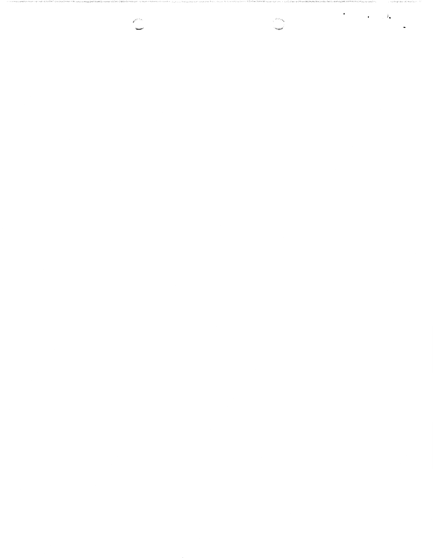$\mathcal{A}_{\bullet}$ 

 $\bar{\phantom{a}}$ 

 $\cdot$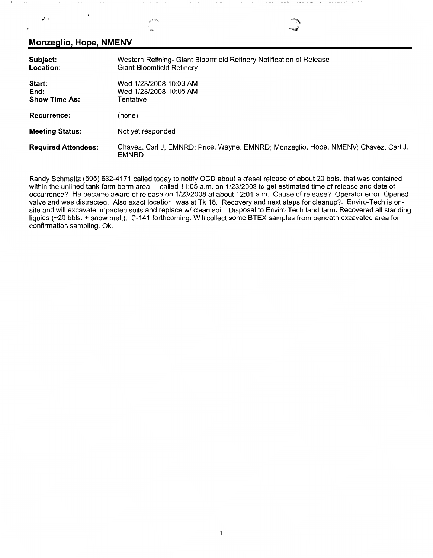#### **Monzeglio, Hope, NMENV**

 $\mathbf{r}^k$  i

| Subject:<br>Location:                  | Western Refining- Giant Bloomfield Refinery Notification of Release<br>Giant Bloomfield Refinery    |
|----------------------------------------|-----------------------------------------------------------------------------------------------------|
| Start:<br>End:<br><b>Show Time As:</b> | Wed 1/23/2008 10:03 AM<br>Wed 1/23/2008 10:05 AM<br>Tentative                                       |
| Recurrence:                            | (none)                                                                                              |
| <b>Meeting Status:</b>                 | Not yet responded                                                                                   |
| <b>Required Attendees:</b>             | Chavez, Carl J, EMNRD; Price, Wayne, EMNRD; Monzeglio, Hope, NMENV; Chavez, Carl J,<br><b>EMNRD</b> |

Randy Schmaltz (505) 632-4171 called today to notify OCD about a diesel release of about 20 bbls. that was contained within the unlined tank farm berm area. I called 11:05 a.m. on 1/23/2008 to get estimated time of release and date of occurrence? He became aware of release on 1/23/2008 at about 12:01 a.m. Cause of release? Operator error. Opened valve and was distracted. Also exact location was at Tk 18. Recovery and next steps for cleanup?. Enviro-Tech is onsite and will excavate impacted soils and replace w/ clean soil. Disposal to Enviro Tech land farm. Recovered all standing liquids (~20 bbls. + snow melt). C-141 forthcoming. Will collect some BTEX samples from beneath excavated area for confirmation sampling. Ok.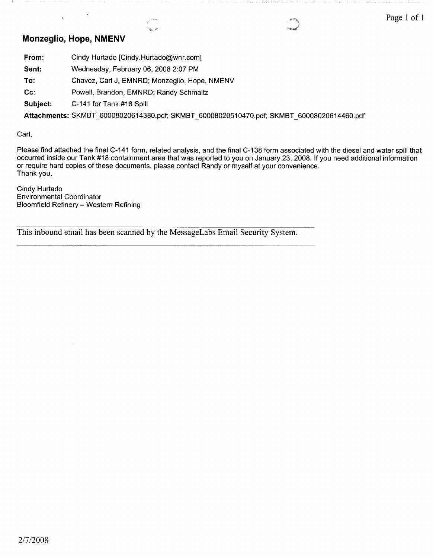**From:**  Cindy Hurtado [Cindy.Hurtado@wnr.com]

**Sent:**  Wednesday, February 06, 2008 2:07 PM

**To:**  Chavez, Carl J, EMNRD; Monzeglio, Hope, NMENV

 $\omega_{\rm{eff}}$  of

**Cc:**  Powell, Brandon, EMNRD; Randy Schmaltz

**Subject:** C-141 for Tank #18 Spill

Attachments: SKMBT\_60008020614380.pdf; SKMBT\_60008020510470.pdf; SKMBT\_60008020614460.pdf

Carl,

Please find attached the final C-141 form, related analysis, and the final C-138 form associated with the diesel and water spill that occurred inside our Tank #18 containment area that was reported to you on January 23, 2008. If you need additional information or require hard copies of these documents, please contact Randy or myself at your convenience. Thank you,

Cindy Hurtado Environmental Coordinator Bloomfield Refinery - Western Refining

This inbound email has been scanned by the MessageLabs Email Security System.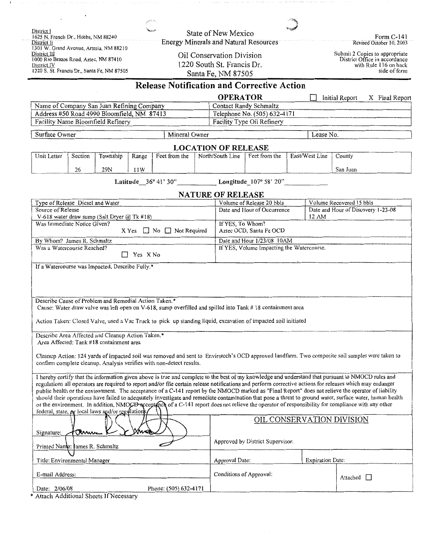| 1625 N. French Dr., Hobbs, NM 88240                                     |         |                                                       |          |                                                                      | State of New Mexico        |                                                                                                                                                                                                                                                                                                                                                                                                                                                                                                                                                                                                                                                                                                                                                                                           |                         |                                                                 | Form $C-141$             |
|-------------------------------------------------------------------------|---------|-------------------------------------------------------|----------|----------------------------------------------------------------------|----------------------------|-------------------------------------------------------------------------------------------------------------------------------------------------------------------------------------------------------------------------------------------------------------------------------------------------------------------------------------------------------------------------------------------------------------------------------------------------------------------------------------------------------------------------------------------------------------------------------------------------------------------------------------------------------------------------------------------------------------------------------------------------------------------------------------------|-------------------------|-----------------------------------------------------------------|--------------------------|
| District II                                                             |         |                                                       |          |                                                                      |                            | <b>Energy Minerals and Natural Resources</b>                                                                                                                                                                                                                                                                                                                                                                                                                                                                                                                                                                                                                                                                                                                                              |                         |                                                                 | Revised October 10, 2003 |
| District III                                                            |         | 1301 W. Grand Avenue, Artesia, NM 88210               |          |                                                                      | Oil Conservation Division  |                                                                                                                                                                                                                                                                                                                                                                                                                                                                                                                                                                                                                                                                                                                                                                                           |                         | Submit 2 Copies to appropriate<br>District Office in accordance |                          |
| 1000 Rio Brazos Road, Aztec, NM 87410<br>District IV                    |         |                                                       |          |                                                                      | 1220 South St. Francis Dr. |                                                                                                                                                                                                                                                                                                                                                                                                                                                                                                                                                                                                                                                                                                                                                                                           |                         |                                                                 | with Rule 116 on back    |
|                                                                         |         | 1220 S. St. Francis Dr., Santa Fe, NM 87505           |          |                                                                      | Santa Fe, NM 87505         |                                                                                                                                                                                                                                                                                                                                                                                                                                                                                                                                                                                                                                                                                                                                                                                           |                         |                                                                 | side of form             |
|                                                                         |         |                                                       |          |                                                                      |                            | <b>Release Notification and Corrective Action</b>                                                                                                                                                                                                                                                                                                                                                                                                                                                                                                                                                                                                                                                                                                                                         |                         |                                                                 |                          |
|                                                                         |         |                                                       |          |                                                                      | <b>OPERATOR</b>            |                                                                                                                                                                                                                                                                                                                                                                                                                                                                                                                                                                                                                                                                                                                                                                                           |                         | Initial Report                                                  | X Final Report           |
|                                                                         |         | Name of Company San Juan Refining Company             |          |                                                                      |                            | <b>Contact Randy Schmaltz</b>                                                                                                                                                                                                                                                                                                                                                                                                                                                                                                                                                                                                                                                                                                                                                             |                         |                                                                 |                          |
|                                                                         |         | Address #50 Road 4990 Bloomfield, NM 87413            |          |                                                                      |                            | Telephone No. (505) 632-4171                                                                                                                                                                                                                                                                                                                                                                                                                                                                                                                                                                                                                                                                                                                                                              |                         |                                                                 |                          |
|                                                                         |         | Facility Name Bloomfield Refinery                     |          |                                                                      |                            | Facility Type Oil Refinery                                                                                                                                                                                                                                                                                                                                                                                                                                                                                                                                                                                                                                                                                                                                                                |                         |                                                                 |                          |
| Surface Owner                                                           |         |                                                       |          | Mineral Owner                                                        |                            |                                                                                                                                                                                                                                                                                                                                                                                                                                                                                                                                                                                                                                                                                                                                                                                           | Lease No.               |                                                                 |                          |
|                                                                         |         |                                                       |          |                                                                      | <b>LOCATION OF RELEASE</b> |                                                                                                                                                                                                                                                                                                                                                                                                                                                                                                                                                                                                                                                                                                                                                                                           |                         |                                                                 |                          |
| Unit Letter                                                             | Section | Township                                              | Range    | Feet from the                                                        | North/South Line           | Feet from the                                                                                                                                                                                                                                                                                                                                                                                                                                                                                                                                                                                                                                                                                                                                                                             | East/West Line          | County                                                          |                          |
|                                                                         | 26      | 29N                                                   | 11W      |                                                                      |                            |                                                                                                                                                                                                                                                                                                                                                                                                                                                                                                                                                                                                                                                                                                                                                                                           |                         | San Juan                                                        |                          |
|                                                                         |         |                                                       |          |                                                                      |                            |                                                                                                                                                                                                                                                                                                                                                                                                                                                                                                                                                                                                                                                                                                                                                                                           |                         |                                                                 |                          |
|                                                                         |         |                                                       |          |                                                                      |                            | Latitude 36°41'30" Longitude 107°58'20"                                                                                                                                                                                                                                                                                                                                                                                                                                                                                                                                                                                                                                                                                                                                                   |                         |                                                                 |                          |
|                                                                         |         |                                                       |          |                                                                      | <b>NATURE OF RELEASE</b>   |                                                                                                                                                                                                                                                                                                                                                                                                                                                                                                                                                                                                                                                                                                                                                                                           |                         |                                                                 |                          |
| Type of Release Diesel and Water<br>Source of Release                   |         |                                                       |          |                                                                      |                            | Volume of Release 20 bbls<br>Date and Hour of Occurrence                                                                                                                                                                                                                                                                                                                                                                                                                                                                                                                                                                                                                                                                                                                                  |                         | Volume Recovered 15 bbls                                        |                          |
|                                                                         |         | V-618 water draw sump (Salt Dryer @ Tk #18)           |          |                                                                      |                            |                                                                                                                                                                                                                                                                                                                                                                                                                                                                                                                                                                                                                                                                                                                                                                                           | 12 AM                   | Date and Hour of Discovery 1-23-08                              |                          |
| Was Immediate Notice Given?                                             |         |                                                       |          |                                                                      | If YES, To Whom?           |                                                                                                                                                                                                                                                                                                                                                                                                                                                                                                                                                                                                                                                                                                                                                                                           |                         |                                                                 |                          |
|                                                                         |         |                                                       |          | $X$ Yes $\Box$ No $\Box$ Not Required                                |                            | Aztec OCD, Santa Fe OCD                                                                                                                                                                                                                                                                                                                                                                                                                                                                                                                                                                                                                                                                                                                                                                   |                         |                                                                 |                          |
| By Whom? James R. Schmaltz                                              |         |                                                       |          |                                                                      |                            | Date and Hour 1/23/08 10AM                                                                                                                                                                                                                                                                                                                                                                                                                                                                                                                                                                                                                                                                                                                                                                |                         |                                                                 |                          |
| If YES, Volume Impacting the Watercourse.<br>Was a Watercourse Reached? |         |                                                       |          |                                                                      |                            |                                                                                                                                                                                                                                                                                                                                                                                                                                                                                                                                                                                                                                                                                                                                                                                           |                         |                                                                 |                          |
|                                                                         |         | If a Watercourse was Impacted, Describe Fully.*       | Yes X No |                                                                      |                            |                                                                                                                                                                                                                                                                                                                                                                                                                                                                                                                                                                                                                                                                                                                                                                                           |                         |                                                                 |                          |
|                                                                         |         | Describe Cause of Problem and Remedial Action Taken.* |          |                                                                      |                            | Cause: Water draw valve was left open on V-618, sump overfilled and spilled into Tank #18 containment area                                                                                                                                                                                                                                                                                                                                                                                                                                                                                                                                                                                                                                                                                |                         |                                                                 |                          |
|                                                                         |         |                                                       |          |                                                                      |                            | Action Taken: Closed Valve, used a Vac Truck to pick up standing liquid, excavation of impacted soil initiated                                                                                                                                                                                                                                                                                                                                                                                                                                                                                                                                                                                                                                                                            |                         |                                                                 |                          |
|                                                                         |         | Describe Area Affected and Cleanup Action Taken.*     |          |                                                                      |                            |                                                                                                                                                                                                                                                                                                                                                                                                                                                                                                                                                                                                                                                                                                                                                                                           |                         |                                                                 |                          |
|                                                                         |         | Area Affected: Tank #18 containment area              |          |                                                                      |                            |                                                                                                                                                                                                                                                                                                                                                                                                                                                                                                                                                                                                                                                                                                                                                                                           |                         |                                                                 |                          |
|                                                                         |         |                                                       |          | confirm complete cleanup. Analysis verifies with non-detect results. |                            | Cleanup Action: 124 yards of impacted soil was removed and sent to Envirotech's OCD approved landfarm. Two composite soil samples were taken to                                                                                                                                                                                                                                                                                                                                                                                                                                                                                                                                                                                                                                           |                         |                                                                 |                          |
|                                                                         |         |                                                       |          |                                                                      |                            | I hereby certify that the information given above is true and complete to the best of my knowledge and understand that pursuant to NMOCD rules and<br>regulations all operators are required to report and/or file certain release notifications and perform corrective actions for releases which may endanger<br>public health or the environment. The acceptance of a C-141 report by the NMOCD marked as "Final Report" does not relieve the operator of liability<br>should their operations have failed to adequately investigate and remediate contamination that pose a threat to ground water, surface water, human health<br>or the environment. In addition, NMOCD accept fice of a C-141 report does not relieve the operator of responsibility for compliance with any other |                         |                                                                 |                          |
| Signature:                                                              |         | federal, state, A local laws and/or regulations,      |          |                                                                      |                            |                                                                                                                                                                                                                                                                                                                                                                                                                                                                                                                                                                                                                                                                                                                                                                                           |                         | OIL CONSERVATION DIVISION                                       |                          |
|                                                                         |         |                                                       |          |                                                                      |                            | Approved by District Supervisor:                                                                                                                                                                                                                                                                                                                                                                                                                                                                                                                                                                                                                                                                                                                                                          |                         |                                                                 |                          |
| Printed Name: James R. Schmaltz<br>Title: Environmental Manager         |         |                                                       |          |                                                                      | Approval Date:             |                                                                                                                                                                                                                                                                                                                                                                                                                                                                                                                                                                                                                                                                                                                                                                                           | <b>Expiration Date:</b> |                                                                 |                          |
|                                                                         |         |                                                       |          |                                                                      |                            |                                                                                                                                                                                                                                                                                                                                                                                                                                                                                                                                                                                                                                                                                                                                                                                           |                         |                                                                 |                          |
| E-mail Address:                                                         |         |                                                       |          | Phone: (505) 632-4171                                                | Conditions of Approval:    |                                                                                                                                                                                                                                                                                                                                                                                                                                                                                                                                                                                                                                                                                                                                                                                           |                         | Attached $\Box$                                                 |                          |

i in in de dys ameryk in in in in de stille wie en de groep dat de stille waarde oerste de de skoedstelleer oo<br>.

 $\mathbf{L}$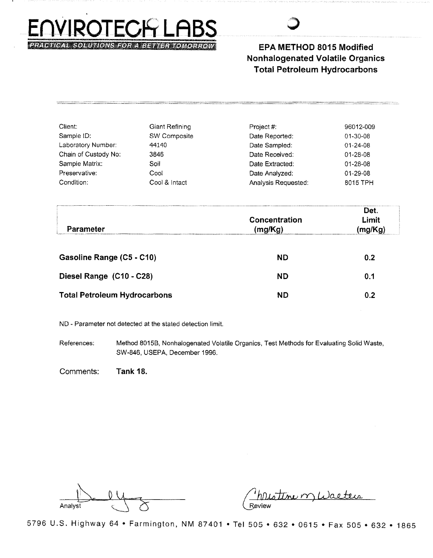### ENVIROTEC<sup>P</sup>  $\alpha$ Grie $\lambda$ Leso Alrions Fair an Francis ao Morton



#### **EPA METHOD 8015 Modified Nonhalogenated Volatile Organics Total Petroleum Hydrocarbons**

| Client:              | Giant Refining | Project #:          | 96012-009      |
|----------------------|----------------|---------------------|----------------|
| Sample ID:           | SW Composite   | Date Reported:      | $01 - 30 - 08$ |
| Laboratory Number:   | 44140          | Date Sampled:       | $01 - 24 - 08$ |
| Chain of Custody No: | 3846           | Date Received:      | $01 - 28 - 08$ |
| Sample Matrix:       | Soil           | Date Extracted:     | $01 - 28 - 08$ |
| Preservative:        | Cool           | Date Analyzed:      | $01 - 29 - 08$ |
| Condition:           | Cool & Intact  | Analysis Requested: | 8015 TPH       |

| Parameter                           | <b>Concentration</b><br>(mg/Kg) | Det.<br>Limit<br>(mg/Kg) |
|-------------------------------------|---------------------------------|--------------------------|
| Gasoline Range (C5 - C10)           | <b>ND</b>                       | 0.2                      |
| Diesel Range (C10 - C28)            | <b>ND</b>                       | 0.1                      |
| <b>Total Petroleum Hydrocarbons</b> | ND                              | 0.2                      |

ND - Parameter not detected at the stated detection limit.

References: Method 8015B, Nonhalogenated Volatile Organics, Test Methods for Evaluating Solid Waste, SW-846, USEPA, December 1996.

Comments: **Tank 18.** 

\_\_\_. Analyst  $\frac{1}{2}$ 

<sup>11</sup>*h\_D.Laiurw* <sup>m</sup>w~ Review

5796 U.S. Highway 64 • Farmington, NM 87401 • Tel 505 • 632 • 0615 • Fax 505 • 632 • 1865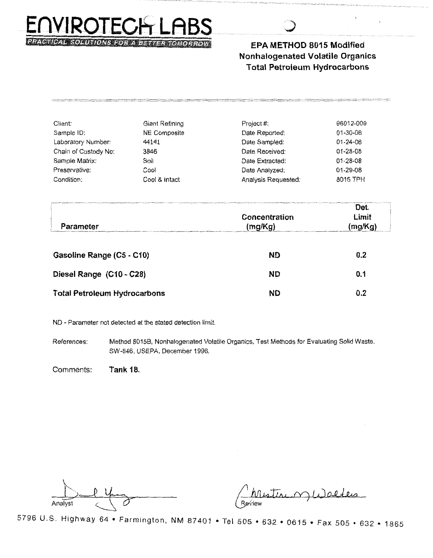## **ENVIROTECH L**





#### **EPA METHOD 8015 Modified Nonhalogenated Volatile Organics Total Petroleum Hydrocarbons**

| Client:              | Giant Refining | Project #:          | 96012-009      |
|----------------------|----------------|---------------------|----------------|
| Sample ID:           | NE Composite   | Date Reported:      | 01-30-08       |
| Laboratory Number:   | 44141          | Date Sampled:       | $01 - 24 - 08$ |
| Chain of Custody No: | 3846           | Date Received:      | 01-28-08       |
| Sample Matrix:       | Soil           | Date Extracted:     | $01 - 28 - 08$ |
| Preservative:        | Cool           | Date Analyzed:      | 01-29-08       |
| Condition:           | Cool & Intact  | Analysis Requested: | 8015 TPH       |

| The contribution of the contribution of the company of the contribution of the contribution of the contribution of the contribution of the contribution of the contribution of the contribution of the contribution of the con | The Matters of Art and Matters and Art and Art and Art and Art and Art and Art and Art and Art and Art and Art and Art and Art and Art and Art and Art and Art and Art and Art and Art and Art and Art and Art and Art and Art | .<br>Det.                                                                           |
|--------------------------------------------------------------------------------------------------------------------------------------------------------------------------------------------------------------------------------|--------------------------------------------------------------------------------------------------------------------------------------------------------------------------------------------------------------------------------|-------------------------------------------------------------------------------------|
|                                                                                                                                                                                                                                | Concentration                                                                                                                                                                                                                  | -imit                                                                               |
| Parameter<br><b><i><u><b>ALLEY WHEN A BELLEY FOR THE CALL AND </b></u></i></b>                                                                                                                                                 | (mg/Kg)<br>. All the first the second party is a member of the property of the second<br>----------                                                                                                                            | (mg/Kg)<br><b><i><u>AMMONSTRATION</u></i></b><br>LAST TRANSVERSE BLAZE<br>--------- |

| Gasoline Range (C5 - C10)           | <b>ND</b> | 0.2 |
|-------------------------------------|-----------|-----|
| Diesel Range (C10 - C28)            | ND.       | 0.1 |
| <b>Total Petroleum Hydrocarbons</b> | <b>ND</b> | 0.2 |

ND - Parameter not detected at the stated detection limit.

References: Method 8015B, Nonhalogenated Volatile Organics, Test Methods for Evaluating Solid Waste, SW-846, USEPA, December 1996.

Comments: **Tank 18.** 

 $A$ nalyst  $\bigcup$ 

Mister museles Review

5796 U.S. Highway 64 • Farmington, NM 87401 • Tel 505 • 632 • 0615 • Fax 505. 632. 1865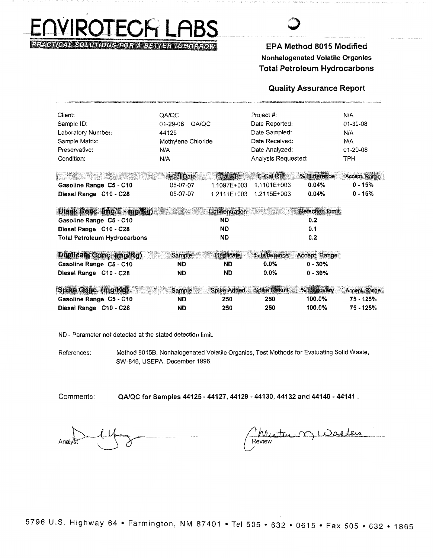# **EOVIROTECHI**





### **Nonhalogenated Volatile Organics Total Petroleum Hydrocarbons**

#### **Quality Assurance Report**

| Client:                             | QA/QC              |                  | Project #:          |               | N/A                 |
|-------------------------------------|--------------------|------------------|---------------------|---------------|---------------------|
| Sample ID:                          | $01 - 29 - 08$     | QA/QC            | Date Reported:      |               | 01-30-08            |
| Laboratory Number:                  | 44125              |                  | Date Sampled:       |               | N/A                 |
| Sample Matrix:                      | Methylene Chloride |                  | Date Received:      |               | N/A                 |
| Preservative:                       | N/A                |                  | Date Analyzed:      |               | $01 - 29 - 08$      |
| Condition:                          | N/A                |                  | Analysis Requested: |               | <b>TPH</b>          |
|                                     | I-Cal Date         | Ca RF            | $C$ -Cal $RF$       | % Difference  | Accept. Range       |
| Gasoline Range C5 - C10             | 05-07-07           | 1.1097E+003      | 1.1101E+003         | 0.04%         | $0 - 15%$           |
| Diesel Range C10 - C28              | 05-07-07           | 1.2111E+003      | 1.2115E+003         | 0.04%         | $0 - 15%$           |
| Blank Gonc. (mg/L - mg/Kg)          |                    | Concentration    |                     | Detection Lin |                     |
| Gasoline Range C5 - C10             |                    | ND               |                     | 0.2           |                     |
| Diesel Range C10 - C28              |                    | <b>ND</b>        |                     | 0.1           |                     |
| <b>Total Petroleum Hydrocarbons</b> |                    | <b>ND</b>        |                     | 0.2           |                     |
| <b>Duplicate Conc. (mg/Kg)</b>      | Sample             | <b>Duplicate</b> | % Difference        | Accept Range  |                     |
| Gasoline Range C5 - C10             | <b>ND</b>          | ND.              | $0.0\%$             | $0 - 30%$     |                     |
| Diesel Range C10 - C28              | <b>ND</b>          | <b>ND</b>        | $0.0\%$             | $0 - 30%$     |                     |
| Spike Conc. inc. KG                 | Sample             | Spike Added      | <b>Spike Result</b> | % Recovery    | <b>Accept Range</b> |
| Gasoline Range C5 - C10             | <b>ND</b>          | 250              | 250                 | 100.0%        | $75 - 125%$         |
| Diesel Range C10 - C28              | ND                 | 250              | 250                 | 100.0%        | 75 - 125%           |

ND - Parameter not detected at the stated detection limit.

References: Method 8015B, Nonhalogenated Volatile Organics, Test Methods for Evaluating Solid Waste, SW-846, USEPA, December 1996.

Comments:

**QA/QC** for **Samples 44125** - **44127, 44129** - **44130, 44132 and 44140** • **44141** .

Analys

Mesture m Wallers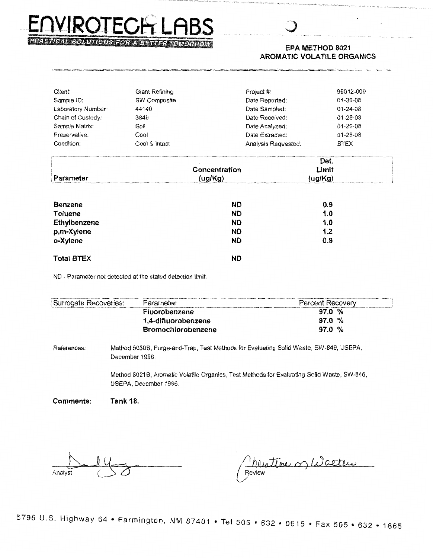### E **IVIROTECH** PRACTICAL SOLUTIONS LOR A BETTER TOMORROW



#### **EPA METHOD 8021 AROMATIC VOLATILE ORGANICS**

\_. -·' ,,----·. ·-··--· . \_\_\_\_ :,.\_\_\_ ·---····-·----· ···----··..: \_\_ .. .::..:. ....... -,- -- ····-· .. -·· ... ---··· \_\_ \_, ... ··· \_\_\_\_\_\_\_ --.. -\_\_ . -· .......... ···"•·-··- . \_\_ ' ··--··· .... -,---- .. ·····•·-------·· . \_\_\_ . \_\_\_ ···· ..... .. -: -=~: --

| Client:            | Giant Refining | Project #:          | 96012-009      |
|--------------------|----------------|---------------------|----------------|
| Sample ID:         | SW Composite   | Date Reported:      | $01 - 30 - 08$ |
| Laboratory Number: | 44140          | Date Sampled:       | $01 - 24 - 08$ |
| Chain of Custody:  | 3846           | Date Received:      | $01 - 28 - 08$ |
| Sample Matrix:     | Soil           | Date Analyzed:      | $01 - 29 - 08$ |
| Preservative:      | Cool           | Date Extracted:     | 01-28-08       |
| Condition:         | Cool & Intact  | Analysis Requested: | <b>BTEX</b>    |

| Parameter                                                           | Concentration<br>(ug/Kg)          | Det.<br>Limit<br>(ug/Kg)        |  |
|---------------------------------------------------------------------|-----------------------------------|---------------------------------|--|
| <b>Benzene</b><br>Toluene<br>Ethylbenzene<br>p,m-Xylene<br>o-Xylene | ND<br>ND<br><b>ND</b><br>ND<br>ND | 0.9<br>1.0<br>1.0<br>1.2<br>0.9 |  |
| <b>Total BTEX</b>                                                   | <b>ND</b>                         |                                 |  |

ND - Parameter not detected at the stated detection limit.

| Surrogate Recoveries: | Parameter                 | Percent Recovery |
|-----------------------|---------------------------|------------------|
|                       | <b>Fluorobenzene</b>      | 97.0%            |
|                       | 1,4-difluorobenzene       | $97.0 \%$        |
|                       | <b>Bromochlorobenzene</b> | 97.0%            |

References: Method 50308, Purge-and-Trap, Test Methods for Evaluating Solid Waste, SW-846, USEPA, December 1996.

> Method 8021B, Aromatic Volatile Organics, Test Methods for Evaluating Solid Waste, SW-846, USEPA, December 1996.

**Comments: Tank 18.** 

Analyst 0

Mestere on Walter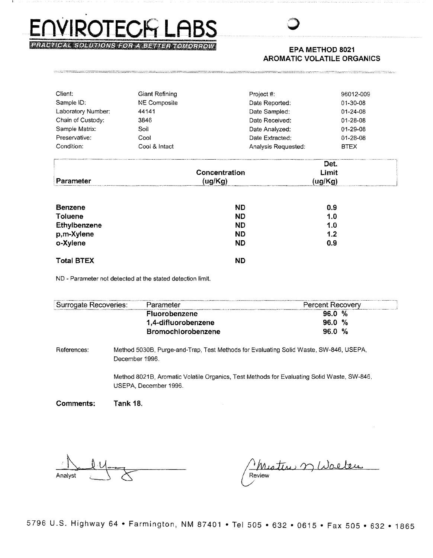# ENVIROTECH



n<br>1911 - San Baranton and The Company of the Company of the Company of the Company of the Company of the Company<br>1911 - San Baranton and The Company of the Company of the Company of the Company of the Company of the Compan



#### EPA METHOD 8021 AROMATIC VOLATILE ORGANICS

.<br>Terminal de la componentación de la contrada de la componentación de la componentación de la componentación de

| Client:            | Giant Refining | Project #:          | 96012-009      |
|--------------------|----------------|---------------------|----------------|
| Sample ID:         | NE Composite   | Date Reported:      | $01 - 30 - 08$ |
| Laboratory Number: | 44141          | Date Sampled:       | $01 - 24 - 08$ |
| Chain of Custody:  | 3846           | Date Received:      | $01 - 28 - 08$ |
| Sample Matrix:     | Soil           | Date Analyzed:      | $01 - 29 - 08$ |
| Preservative:      | Cool           | Date Extracted:     | $01 - 28 - 08$ |
| Condition:         | Cool & Intact  | Analysis Requested: | <b>BTEX</b>    |

| Parameter         | Concentration<br>(ug/Kg) | Det.<br>Limit<br>(ug/Kg) |  |
|-------------------|--------------------------|--------------------------|--|
| <b>Benzene</b>    | <b>ND</b>                | 0.9                      |  |
| <b>Toluene</b>    | <b>ND</b>                | 1.0                      |  |
| Ethylbenzene      | <b>ND</b>                | 1.0                      |  |
| p,m-Xylene        | <b>ND</b>                | 1.2                      |  |
| o-Xylene          | <b>ND</b>                | 0.9                      |  |
| <b>Total BTEX</b> | <b>ND</b>                |                          |  |

ND - Parameter not detected at the stated detection limit.

| Surrogate Recoveries: | Parameter                 | <b>Percent Recovery</b> |  |
|-----------------------|---------------------------|-------------------------|--|
|                       | <b>Fluorobenzene</b>      | 96.0 $%$                |  |
|                       | 1.4-difluorobenzene       | $96.0 \%$               |  |
|                       | <b>Bromochlorobenzene</b> | 96.0%                   |  |

References: Method 5030B, Purge-and-Trap, Test Methods for Evaluating Solid Waste, SW-846, USEPA, December 1996.

> Method 8021B, Aromatic Volatile Organics, Test Methods for Evaluating Solid Waste, SW-846, USEPA, December 1996.

**Comments: Tank 18.** 

Analyst

(Mister 2) Walter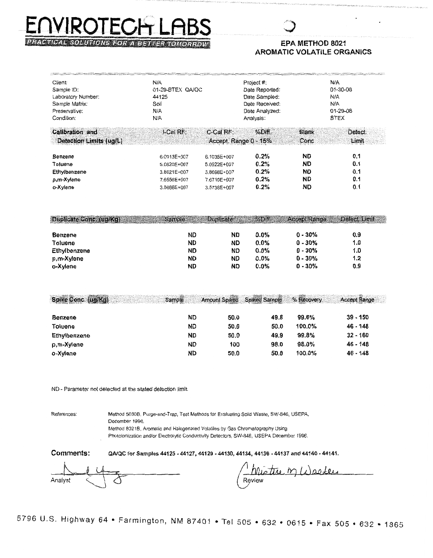## ENVIROTECH LABS

### PRACTICAL SOLUTIONS FOR A BETTER TOMORROW

#### EPA METHOD 8021 AROMATIC VOLATILE ORGANICS

 $\ddot{\phantom{a}}$ 

| Sample ID:                                                                                                      | N/A<br>01-29-BTEX QA/QC                                                                                                                                               |                       | Project #:                      |                     | N/A<br>01-30-08        |  |  |  |
|-----------------------------------------------------------------------------------------------------------------|-----------------------------------------------------------------------------------------------------------------------------------------------------------------------|-----------------------|---------------------------------|---------------------|------------------------|--|--|--|
| Laboratory Number:                                                                                              | 44125                                                                                                                                                                 |                       | Date Reported:<br>Date Sampled: |                     | N/A                    |  |  |  |
| Sample Matrix:                                                                                                  | Soil                                                                                                                                                                  |                       | Date Received:                  |                     | N/A                    |  |  |  |
| Preservative:                                                                                                   | N/A                                                                                                                                                                   |                       | Date Analyzed:                  |                     | 01-29-08               |  |  |  |
| Condition:                                                                                                      | N/A                                                                                                                                                                   | Analysis:             |                                 | <b>BTEX</b>         |                        |  |  |  |
| <b>Calibration and</b>                                                                                          | I-Cal RF:                                                                                                                                                             | C-Cal RF:             | %Diff.                          | <b>Blank</b>        | Detect.                |  |  |  |
| Detection Limits (ug/L)                                                                                         |                                                                                                                                                                       | Accept. Range 0 - 15% |                                 | Conc                | Limit.                 |  |  |  |
| Benzene                                                                                                         | 6.0913E+007                                                                                                                                                           | 6.1035E+007           | 0.2%                            | ND                  | 0.1                    |  |  |  |
| Toluene                                                                                                         | 5.0820E+007                                                                                                                                                           | 5.0922E+007           | 0.2%                            | <b>ND</b>           | 0.1                    |  |  |  |
| Ethylbenzene                                                                                                    | 3.8621E+007                                                                                                                                                           | 3.8698E+007           | 0.2%                            | <b>ND</b>           | 0.1                    |  |  |  |
| p,m-Xylene                                                                                                      | 7.6556E+007                                                                                                                                                           | 7.6710E+007           | 0.2%                            | <b>ND</b>           | 0.1                    |  |  |  |
| o-Xylene                                                                                                        | 3.5666E+007                                                                                                                                                           | 3.5738E+007           | 0.2%                            | <b>ND</b>           | 0.1                    |  |  |  |
| Duplicate Conc. (ug/Kg)                                                                                         | Sample:                                                                                                                                                               | <b>Duplicate</b>      | %Diff                           | <b>Accept Range</b> | Detect Limit           |  |  |  |
| <b>Benzene</b>                                                                                                  | <b>ND</b>                                                                                                                                                             | ND                    | 0.0%                            | $0 - 30%$           | 0.9                    |  |  |  |
| Toluene                                                                                                         | <b>ND</b>                                                                                                                                                             | <b>ND</b>             | 0.0%                            | $0 - 30%$           | 1.0                    |  |  |  |
| Ethylbenzene                                                                                                    | <b>ND</b>                                                                                                                                                             | <b>ND</b>             | 0.0%                            | $0 - 30%$           | 1.0                    |  |  |  |
| p,m-Xylene                                                                                                      | <b>ND</b>                                                                                                                                                             | <b>ND</b>             | 0.0%                            | $0 - 30%$           | 1.2                    |  |  |  |
| o-Xylene                                                                                                        | <b>ND</b>                                                                                                                                                             | <b>ND</b>             | 0.0%                            | $0 - 30%$           | 0.9                    |  |  |  |
| Spike Conc. (ug/Kg)                                                                                             | Sample                                                                                                                                                                | <b>Amount Spiked</b>  | <b>Spiked Sample</b>            | % Recovery          | <b>Accept Range</b>    |  |  |  |
| <b>Benzene</b>                                                                                                  | <b>ND</b>                                                                                                                                                             | 50.0                  | 49.8                            | 99.6%               | $39 - 150$             |  |  |  |
|                                                                                                                 | <b>ND</b>                                                                                                                                                             | 50.0                  | 50.0                            | 100.0%              | $46 - 148$             |  |  |  |
|                                                                                                                 |                                                                                                                                                                       |                       |                                 |                     |                        |  |  |  |
|                                                                                                                 | <b>ND</b>                                                                                                                                                             |                       |                                 |                     |                        |  |  |  |
|                                                                                                                 |                                                                                                                                                                       | 50.0                  | 49.9                            | 99.8%               | $32 - 160$             |  |  |  |
|                                                                                                                 | <b>ND</b><br><b>ND</b>                                                                                                                                                | 100<br>50.0           | 98.0<br>50.0                    | 98.0%<br>100.0%     | $46 - 148$<br>46 - 148 |  |  |  |
| Toluene<br>Ethylbenzene<br>p,m-Xylene<br>o-Xylene<br>ND - Parameter not detected at the stated detection limit. |                                                                                                                                                                       |                       |                                 |                     |                        |  |  |  |
| December 1996.                                                                                                  | Method 5030B, Purge-and-Trap, Test Methods for Evaluating Solid Waste, SW-846, USEPA,<br>Method 8021B, Aromatic and Halogenated Volatiles by Gas Chromatography Using |                       |                                 |                     |                        |  |  |  |
|                                                                                                                 | Photoionization and/or Electrolytic Conductivity Detectors, SW-846, USEPA December 1996.                                                                              |                       |                                 |                     |                        |  |  |  |
| References:<br>Comments:                                                                                        | QA/QC for Samples 44125 - 44127, 44129 - 44130, 44134, 44136 - 44137 and 44140 - 44141.                                                                               |                       |                                 |                     |                        |  |  |  |
|                                                                                                                 |                                                                                                                                                                       |                       |                                 |                     |                        |  |  |  |
| Analyst                                                                                                         |                                                                                                                                                                       |                       | <u>'Mistine</u> M Wae<br>Review |                     |                        |  |  |  |

5796 U.S. Highway 64 · Farmington, NM 87401 · Tel 505 · 632 · 0615 · Fax 505 · 632 · 1865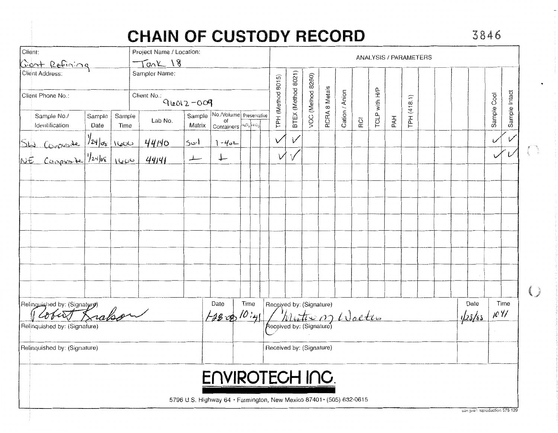## **CHAIN OF CUSTODY RECORD**

| Client:                                         | Project Name / Location: |                |                            |                  |                                                                      | <b>ANALYSIS / PARAMETERS</b> |  |                          |                    |                   |                      |                |                |                      |             |             |  |  |        |                  |               |
|-------------------------------------------------|--------------------------|----------------|----------------------------|------------------|----------------------------------------------------------------------|------------------------------|--|--------------------------|--------------------|-------------------|----------------------|----------------|----------------|----------------------|-------------|-------------|--|--|--------|------------------|---------------|
| Giort Refining                                  |                          |                | Tank 18                    |                  |                                                                      |                              |  |                          |                    |                   |                      |                |                |                      |             |             |  |  |        |                  |               |
| Client Address:                                 |                          |                | Sampler Name:              |                  |                                                                      |                              |  |                          |                    |                   |                      |                |                |                      |             |             |  |  |        |                  |               |
| Client Phone No.:                               |                          |                | Client No.:<br>$9602 -009$ |                  |                                                                      |                              |  |                          | BTEX (Method 8021) | VOC (Method 8260) | <b>RCRA 8 Metals</b> | Cation / Anion |                | <b>TCLP with H/P</b> |             |             |  |  |        |                  | Sample Intact |
| Sample No./<br>Identification                   | Sample<br>Date           | Sample<br>Time | Lab No.                    | Sample<br>Matrix | No./Volume Preservative<br>οf<br>Containers Heazinnos                |                              |  | TPH (Method 8015)        |                    |                   |                      |                | $\overline{C}$ |                      | $R_{\rm A}$ | ГРН (418.1) |  |  |        | Sample Cool      |               |
| SL Commente 1/24/08 1600                        |                          |                | 44140                      | ا حڪ             | $1 - 402$                                                            |                              |  |                          | $\checkmark$       |                   |                      |                |                |                      |             |             |  |  |        | ما               |               |
|                                                 |                          |                | 44141                      | سلہ              | ↓                                                                    |                              |  | $\vee$                   |                    |                   |                      |                |                |                      |             |             |  |  |        |                  |               |
|                                                 |                          |                |                            |                  |                                                                      |                              |  |                          |                    |                   |                      |                |                |                      |             |             |  |  |        |                  |               |
|                                                 |                          |                |                            |                  |                                                                      |                              |  |                          |                    |                   |                      |                |                |                      |             |             |  |  |        |                  |               |
|                                                 |                          |                |                            |                  |                                                                      |                              |  |                          |                    |                   |                      |                |                |                      |             |             |  |  |        |                  |               |
|                                                 |                          |                |                            |                  |                                                                      |                              |  |                          |                    |                   |                      |                |                |                      |             |             |  |  |        |                  |               |
|                                                 |                          |                |                            |                  |                                                                      |                              |  |                          |                    |                   |                      |                |                |                      |             |             |  |  |        |                  |               |
|                                                 |                          |                |                            |                  |                                                                      |                              |  |                          |                    |                   |                      |                |                |                      |             |             |  |  |        |                  |               |
|                                                 |                          |                |                            |                  | Date                                                                 | Time                         |  | Received by: (Signature) |                    |                   |                      |                |                |                      |             |             |  |  | Date   |                  | Time          |
| Relinquished by: (Signature)<br>( Cobert Krabon |                          |                |                            |                  | $H_{28}$ cg $10:41$                                                  |                              |  | Anistre m Walter         |                    |                   |                      |                |                |                      |             |             |  |  | 125/65 | $10 \frac{V}{I}$ |               |
| Relinquished by: (Signature)                    |                          |                |                            |                  |                                                                      |                              |  |                          |                    |                   |                      |                |                |                      |             |             |  |  |        |                  |               |
| Relinquished by: (Signature)                    |                          |                |                            |                  |                                                                      |                              |  | Received by: (Signature) |                    |                   |                      |                |                |                      |             |             |  |  |        |                  |               |
|                                                 |                          |                |                            |                  | ENVIROTECH INC.                                                      |                              |  |                          |                    |                   |                      |                |                |                      |             |             |  |  |        |                  |               |
|                                                 |                          |                |                            |                  |                                                                      |                              |  |                          |                    |                   |                      |                |                |                      |             |             |  |  |        |                  |               |
|                                                 |                          |                |                            |                  | 5796 U.S. Highway 64 · Farmington, New Mexico 87401 · (505) 632-0615 |                              |  |                          |                    |                   |                      |                |                |                      |             |             |  |  |        |                  |               |

3846

i.

L,